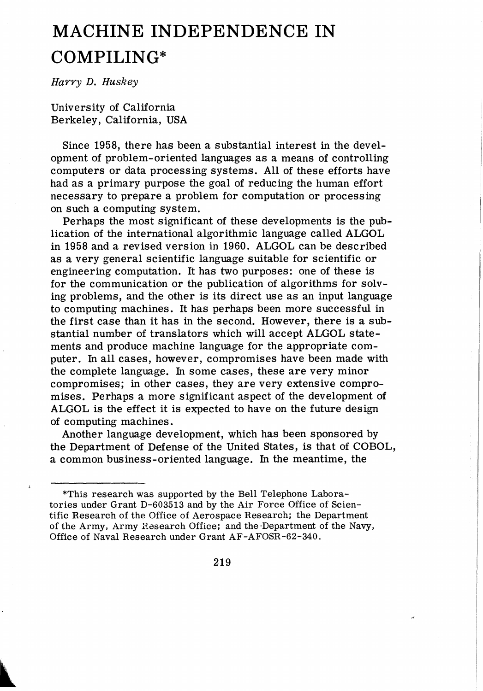# **MACHINE INDEPENDENCE IN COMPILING\***

Harry D. Huskey

University of California Berkeley, California, USA

Since 1958, there has been a substantial interest in the development of problem-oriented languages as a means of controlling computers or data processing systems. All of these efforts have had as a primary purpose the goal of reducing the human effort necessary to prepare a problem for computation or processing on such a computing system.

Perhaps the most significant of these developments is the publication of the international algorithmic language called ALGOL in 1958 and a revised version in 1960. ALGOL can be described as a very general scientific language suitable for scientific or engineering computation. It has two purposes: one of these is for the communication or the publication of algorithms for solving problems, and the other is its direct use as an input language to computing machines. It has perhaps been more successful in the first case than it has in the second. However, there is a substantial number of translators which will accept ALGOL statements and produce machine language for the appropriate computer. In all cases, however, compromises have been made with the complete language. In some cases, these are very minor compromises; in other cases, they are very extensive compromises. Perhaps a more significant aspect of the development of ALGOL is the effect it is expected to have on the future design of computing machines.

Another language development, which has been sponsored by the Department of Defense of the United States, is that of COBOL, a common business-oriented language. In the meantime, the

<sup>\*</sup>This research was supported by the Bell Telephone Laboratories under Grant D-603513 and by the Air Force Office of Scientific Research of the Office of Aerospace Research; the Department of the Army. Army Hasearch Office; and the-Department of the Navy. Office of Naval Research under Grant AF-AFOSR-62-340.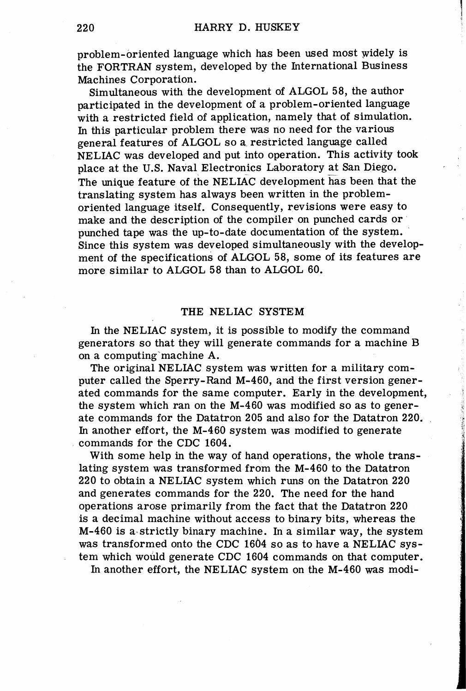problem-oriented language which has been used most Widely is the FORTRAN system, developed by the International Business Machines Corporation.

Simultaneous with the development of ALGOL 58, the author participated in the development of a problem-oriented language with a restricted field of application, namely that of simulation. In this particular problem there was no need for the various general features of ALGOL so a restricted language called NELIAC was developed and put into operation. This activity took place at the U.S. Naval Electronics Laboratory at San Diego. The unique feature of the NELIAC development has been that the translating system has always been written in the problemoriented language itself. Consequently, revisions were easy to make and the description of the compiler on punched cards or punched tape was the up-to-date documentation of the *system.*  Since this system was developed simultaneously with the development of the specifications of ALGOL 58, some of its features are more similar to ALGOL 58 than to ALGOL 60.

#### THE NELIAC SYSTEM

In the NELIAC system, it is possible to modify the command generators so that they will generate commands for a machine B on a computing machine A.

The original NELIAC system was written for a military computer called the Sperry-Rand M-460, and the first version generated commands for the same computer. Early in the development, the system which ran on the M-460 was modified so as to generate commands for the Datatron 205 and also for the Datatron 220. In another effort, the M-460 system was modified to generate commands for the CDC 1604.

With some help in the way of hand operations, the whole translating system was transformed from the M-460 to the Datatron 220 to obtain a NELIAC system which runs on the Datatron 220 and generates commands for the 220. The need for the hand operations arose primarily from the fact that the Datatron 220 is a decimal machine without access to binary bits, whereas the  $M-460$  is a strictly binary machine. In a similar way, the system was transformed onto the CDC 1604 so as to have a NELIAC system which would generate CDC 1604 commands on that computer.

In another effort, the NELIAC system on the M-460 was modi-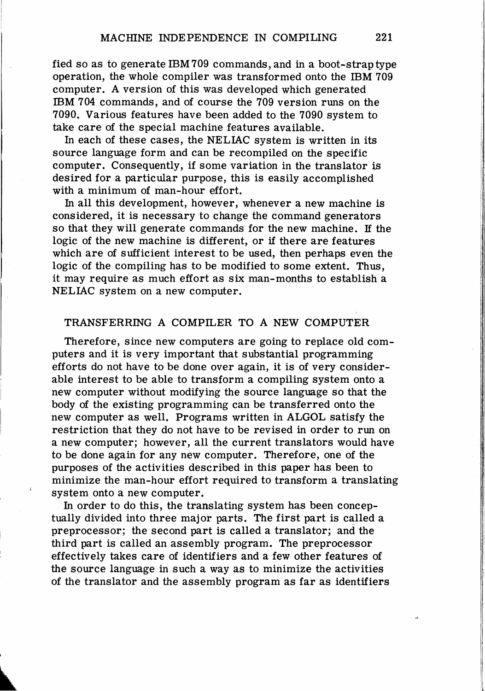fied so as to generate IBM709 commands, and in a boot-strap type operation, the whole compiler was transformed onto the IBM 709 computer. A version of this was developed which generated IBM 704 commands, and of course the 709 version runs on the 7090. Various features have been added to the 7090 system to take care of the special machine features available.

In each of these cases, the NELIAC system is written in its source language form and can be recompiled on the specific computer. Consequently, if some variation in the translator is desired for a particular purpose, this is easily accomplished with a minimum of man-hour effort.

In all this development, however, whenever a new machine is considered, it is necessary to change the command generators so that they will generate commands for the new machine. If the logic of the new machine is different, or if there are features which are of sufficient interest to be used, then perhaps even the logic of the compiling has to be modified to some extent. Thus, it may require as much effort as six man-months to establish a NELIAC system on a new computer.

## TRANSFERRING A COMPILER TO A NEW COMPUTER

Therefore, since new computers are going to replace old computers and it is very important that substantial programming efforts do not have to be done over again, it is of very considerable interest to be able to transform a compiling system onto a new computer without modifying the source language so that the body of the existing programming can be transferred onto the new computer as well. Programs written in ALGOL satisfy the restriction that they do not have to be revised in order to run on a new computer; however, all the current translators would have to be done again for any new computer. Therefore, one of the purposes of the activities described in this paper has been to minimize the man-hour effort required to transform a translating system onto a new computer.

In order to do this, the translating system has been conceptually divided into three major parts. The first part is called a preprocessor; the second part is called a translator; and the third part is called an assembly program. The preprocessor effectively takes care of identifiers and a few other features of the source language in such a way as to minimize the activities of the translator and the assembly program as faras identifiers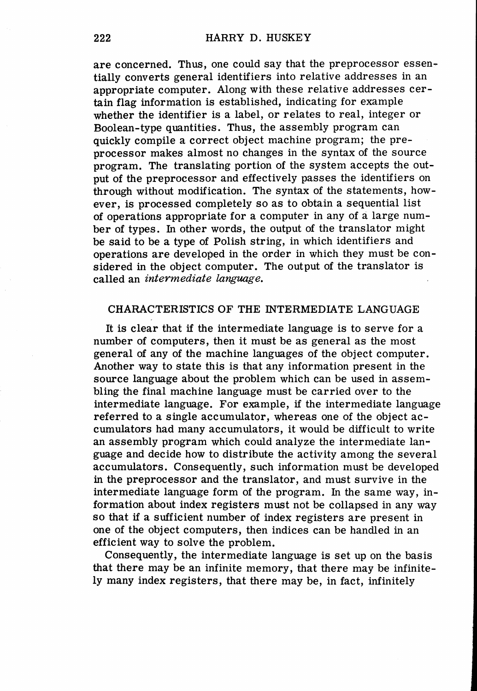are concerned. Thus, one could say that the preprocessor essentially converts general identifiers into relative addresses in an appropriate computer. Along with these relative addresses certain flag information is established, indicating for example whether the identifier is a label, or relates to real, integer or Boolean-type quantities. Thus, the assembly program can quickly compile a correct object machine program; the preprocessor makes almost no changes in the syntax of the source program. The translating portion of the system accepts the output of the preprocessor and effectively passes the identifiers on through without modification. The syntax of the statements, however, is processed completely so as to obtain a sequential list of operations appropriate for a computer in any of a large number of types. In other words, the output of the translator might be said to be a type of Polish string, in which identifiers and operations are developed in the order in which they must be considered in the object computer. The output of the translator is called an *intermediate language.* 

## CHARACTERISTICS OF THE INTERMEDIATE LANGUAGE

It is clear that if the intermediate language is to serve for a number of computers, then it must be as general as the most general of any of the machine languages of the object computer. Another way to state this is that any information present in the source language about the problem which can be used in assembling the final machine language must be carried over to the intermediate language. For example, if the intermediate language referred to a single accumulator, whereas one of the object accumulators had many accumulators, it would be difficult to write an assembly program which could analyze the intermediate language and decide how to distribute the activity among the several accumulators. Consequently, such information must be developed in the preprocessor and the translator, and must survive in the intermediate language form of the program. In the same way, information about index registers must not be collapsed in any way so that if a sufficient number of index registers are present in one of the object computers, then indices can be handled in an efficient way to solve the problem.

Consequently, the intermediate language is set up on the basis that there may be an infinite memory, that there may be infinitely many index registers, that there may be, in fact, infinitely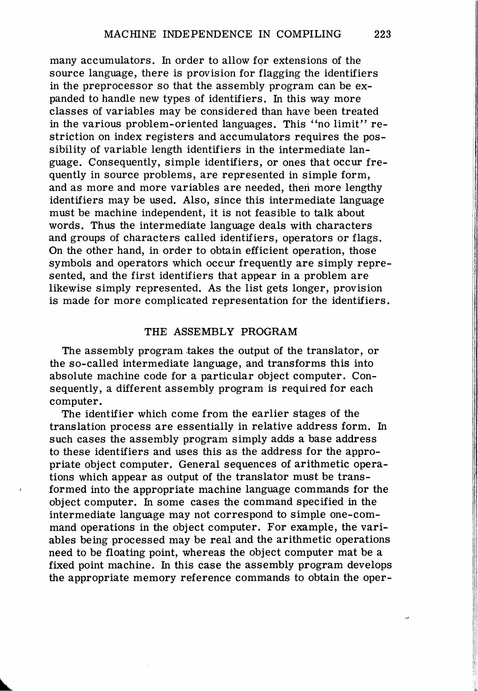many accumulators. In order to allow for extensions of the source language, there is provision for flagging the identifiers in the preprocessor so that the assembly program can be expanded to handle new types of identifiers. In this way more classes of variables may be considered than have been treated in the various problem-oriented languages. This "no limit" restriction on index registers and accumulators requires the possibility of variable length identifiers in the intermediate language. Consequently, simple identifiers, or ones that occur frequently in source problems, are represented in simple form, and as more and more variables are needed, then more lengthy identifiers may be used. Also, since this intermediate language must be machine independent, it is not feasible to talk about words. Thus the intermediate language deals with characters and groups of characters called identifiers, operators or flags. On the other hand, in order to obtain efficient operation, those symbols and operators which occur frequently are simply represented, and the first identifiers that appear in a problem are likewise simply represented. As the list gets longer, provision is made for more complicated representation for the identifiers.

## THE ASSEMBLY PROGRAM

The assembly program takes the output of the translator, or the so-called intermediate language, and transforms this into absolute machine code for a particular object computer. Consequently, a different assembly program is required for each computer.

The identifier which come from the earlier stages of the translation process are essentially in relative address form. In such cases the assembly program simply adds a base address to these identifiers and uses this as the address for the appropriate object computer. General sequences of arithmetic operations which appear as output of the translator must be transformed into the appropriate machine language commands for the object computer. In some cases the command specified in the intermediate language may not correspond to simple one-command operations in the object computer. For example, the variables being processed may be real and the arithmetic operations need to be floating point, whereas the object computer mat be a fixed point machine. In this case the assembly program develops the appropriate memory reference commands to obtain the oper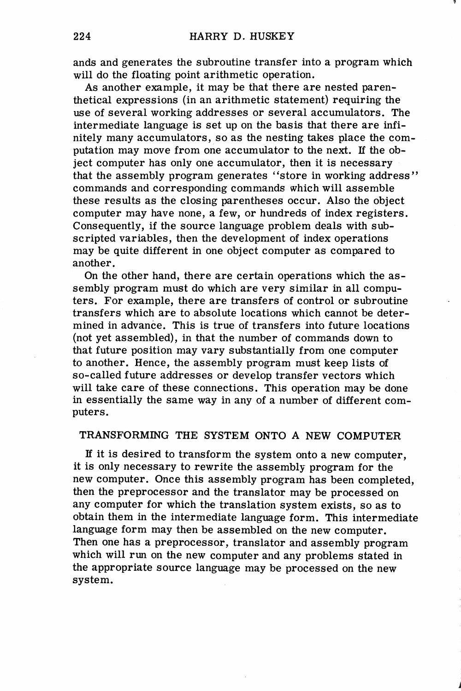ands and generates the subroutine transfer into a program which will do the floating point arithmetic operation.

As another example, it may be that there are nested parenthetical expressions (in an arithmetic statement) requiring the use of several working addresses or several accumulators. The intermediate language is set up on the basis that there are infinitely many accumulators, so as the nesting takes place the computation may move from one accumulator to the next. If the object computer has only one accumulator, then it is necessary that the assembly program generates "store in working address" commands and corresponding commands which will assemble these results as the closing parentheses occur. Also the object computer may have none, a few, or hundreds of index registers. Consequently, if the source language problem deals with subscripted variables, then the development of index operations may be quite different in one object computer as compared to another.

On the other hand, there are certain operations which the assembly program must do which are very similar in all computers. For example, there are transfers of control or subroutine transfers which are to absolute locations which cannot be determined in advance. This is true of transfers into future locations (not yet assembled), in that the number of commands down to that future position may vary substantially from one computer to another. Hence, the assembly program must keep lists of so-called future addresses or develop transfer vectors which will take care of these connections. This operation may be done in essentially the same way in any of a number of different computers.

## TRANSFORMING THE SYSTEM ONTO A NEW COMPUTER

If it is desired to transform the system onto a new computer, it is only necessary to rewrite the assembly program for the new computer. Once this assembly program has been completed, then the preprocessor and the translator may be processed on any computer for which the translation system exists, so as to obtain them in the intermediate language form. This intermediate language form may then be assembled on the new computer. Then one has a preprocessor, translator and assembly program which will run on the new computer and any problems stated in the appropriate source language may be processed on the new system.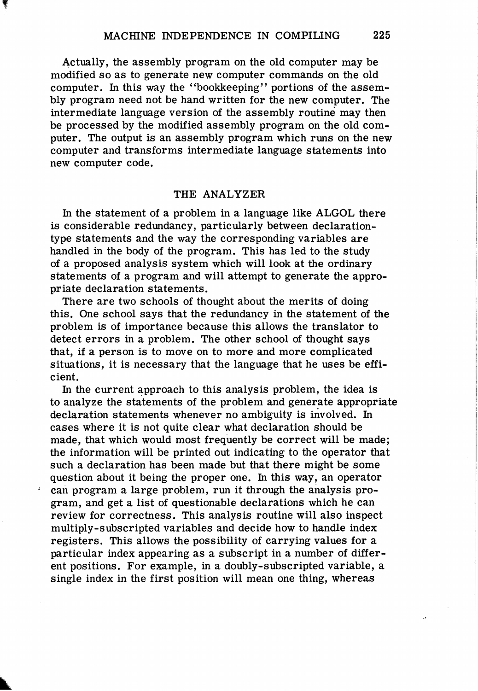Actually, the assembly program on the old computer may be modified so as to generate new computer commands on the old computer. In this way the "bookkeeping" portions of the assembly program need not be hand written for the new computer. The intermediate language version of the assembly routine may then be processed by the modified assembly program on the old computer. The output is an assembly program which runs on the new computer and transforms intermediate language statements into new computer code.

## THE ANALYZER

In the statement of a problem in a language like ALGOL there is considerable redundancy, particularly between declarationtype statements and the way the corresponding variables are handled in the body of the program. This has led to the study of a proposed analysis system which will look at the ordinary statements of a program and will attempt to generate the appropriate declaration statements.

There are two schools of thought about the merits of doing this. One school says that the redundancy in the statement of the problem is of importance because this allows the translator to detect errors in a problem. The other school of thought says that, if a person is to move on to more and more complicated situations, it is necessary that the language that he uses be efficient.

In the current approach to this analysis problem, the idea is to analyze the statements of the problem and generate appropriate declaration statements whenever no ambiguity is involved. In cases where it is not quite clear what declaration should be made, that which would most frequently be correct will be made; the information will be printed out indicating to the operator that such a declaration has been made but that there might be some question about it being the proper one. In this way, an operator can program a large problem, run it through the analysis program, and get a list of questionable declarations which he can review for correctness. This analysis routine will also inspect multiply-subscripted variables and decide how to handle index registers. This allows the possibility of carrying values for a particular index appearing as a subscript in a number of different positions. For example, in a doubly-subscripted variable, a single index in the first position will mean one thing, whereas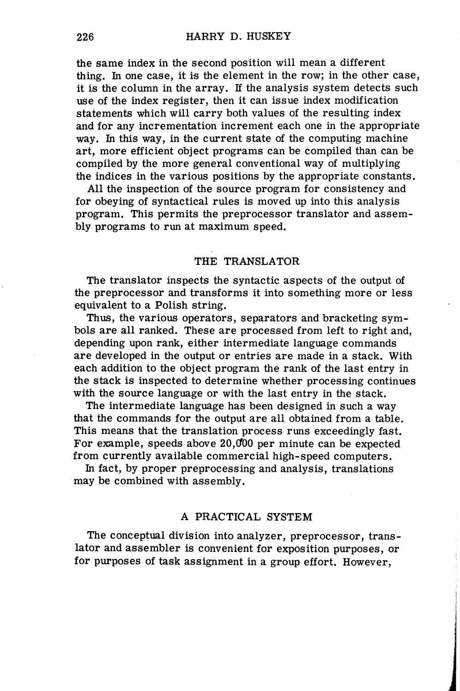the same index in the second position will mean a different thing. In one case, it is the element in the row; in the other case, it is the column in the array. If the analysis system detects such use of the index register, then it can issue index modification statements which will carry both values of the resulting index and for any incrementation increment each one in the appropriate way. In this way, in the current state of the computing machine art, more efficient object programs can be compiled than can be compiled by the more general conventional way of multiplying the indices in the various positions by the appropriate constants.

All the inspection of the source program for consistency and for obeying of syntactical rules is moved up into this analysis program. This permits the preprocessor translator and assembly programs to run at maximum speed.

## THE TRANSLATOR

The translator inspects the syntactic aspects of the output of the preprocessor and transforms it into something more or less equivalent to a Polish string.

Thus, the various operators, separators and bracketing symbols are all ranked. These are processed from left to right and, depending upon rank, either intermediate language commands are developed in the output or entries are made in a stack. With each addition to the object program the rank of the last entry in the stack is inspected to determine whether processing continues with the source language or with the last entry in the stack.

The intermediate language has been designed in such a way that the commands for the output are all obtained from a table. This means that the translation process runs exceedingly fast. For example, speeds above  $20,000$  per minute can be expected from currently available commercial high-speed computers.

In fact, by proper preprocessing and analysis, translations may be combined with assembly.

## A PRACTICAL SYSTEM

The conceptual division into analyzer, preprocessor, translator and assembler is convenient for exposition purposes, or for purposes of task assignment in a group effort. However,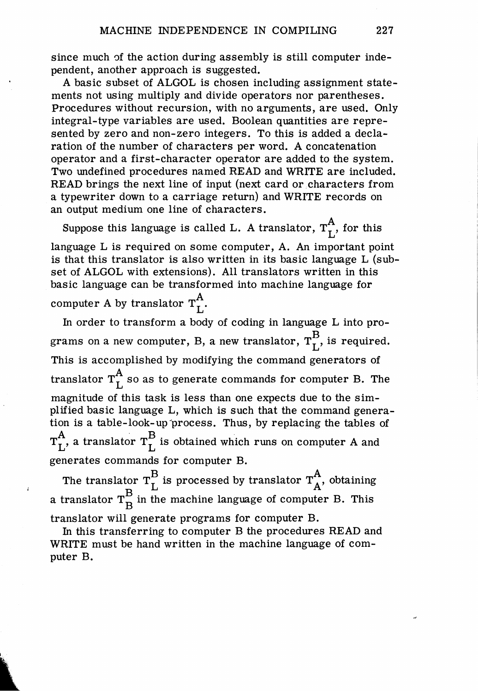since much of the action during assembly is still computer independent, another approach is suggested.

A basic subset of ALGOL is chosen including assignment statements not using multiply and divide operators nor parentheses. Procedures without recursion, with no arguments, are used. Only integral-type variables are used. Boolean quantities are represented by zero and non-zero integers. To this is added a declaration of the number of characters per word. A concatenation operator and a first-character operator are added to the system. Two undefined procedures named READ and WRITE are included. READ brings the next line of input (next card or characters from a typewriter down to a carriage return) and WRITE records on an output medium one line of characters.

Suppose this language is called L. A translator,  $T_r^A$ , for this language L is required on some computer, A. An important point is that this translator is also written in its basic language L (subset of ALGOL with extensions). All translators written in this basic language can be transformed into machine language for computer A by translator  $T_r^A$ .

In order to transform a body of coding in language L into programs on a new computer, B, a new translator,  $T_r^B$ , is required. This is accomplished by modifying the command generators of translator  $T_r^A$  so as to generate commands for computer B. The magnitude of this task is less than one expects due to the simplified basic language L, which is such that the command generation is a table-look-up "process. Thus, by replacing the tables of  $T_{\rm L}^{\rm A}$ , a translator  $T_{\rm L}^{\rm B}$  is obtained which runs on computer A and generates commands for computer B.

The translator  $T_r^B$  is processed by translator  $T_A^A$ , obtaining a translator  $T^B_B$  in the machine language of computer B. This translator will generate programs for computer B.

In this transferring to computer B the procedures READ and WRITE must be hand written in the machine language of computer B.